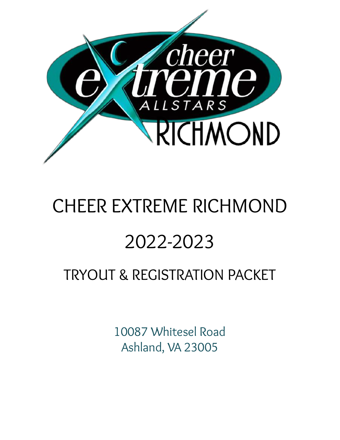

# CHEER EXTREME RICHMOND 2022-2023

# TRYOUT & REGISTRATION PACKET

10087 Whitesel Road Ashland, VA 23005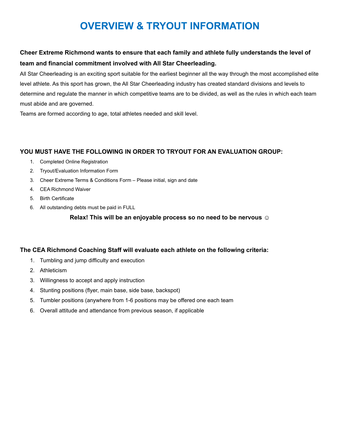## **OVERVIEW & TRYOUT INFORMATION**

#### **Cheer Extreme Richmond wants to ensure that each family and athlete fully understands the level of team and financial commitment involved with All Star Cheerleading.**

All Star Cheerleading is an exciting sport suitable for the earliest beginner all the way through the most accomplished elite level athlete. As this sport has grown, the All Star Cheerleading industry has created standard divisions and levels to determine and regulate the manner in which competitive teams are to be divided, as well as the rules in which each team must abide and are governed.

Teams are formed according to age, total athletes needed and skill level.

#### **YOU MUST HAVE THE FOLLOWING IN ORDER TO TRYOUT FOR AN EVALUATION GROUP:**

- 1. Completed Online Registration
- 2. Tryout/Evaluation Information Form
- 3. Cheer Extreme Terms & Conditions Form Please initial, sign and date
- 4. CEA Richmond Waiver
- 5. Birth Certificate
- 6. All outstanding debts must be paid in FULL

**Relax! This will be an enjoyable process so no need to be nervous ☺**

#### **The CEA Richmond Coaching Staff will evaluate each athlete on the following criteria:**

- 1. Tumbling and jump difficulty and execution
- 2. Athleticism
- 3. Willingness to accept and apply instruction
- 4. Stunting positions (flyer, main base, side base, backspot)
- 5. Tumbler positions (anywhere from 1-6 positions may be offered one each team
- 6. Overall attitude and attendance from previous season, if applicable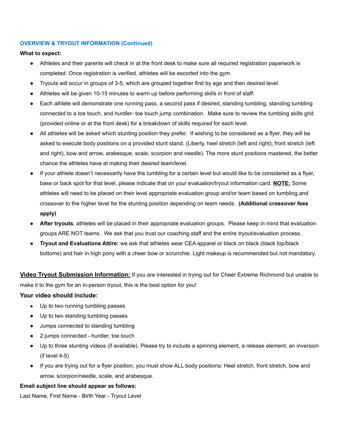#### **OVERVIEW & TRYOUT INFORMATION (Continued)**

#### **What to expect:**

- Athletes and their parents will check in at the front desk to make sure all required registration paperwork is completed. Once registration is verified, athletes will be escorted into the gym.
- Tryouts will occur in groups of 3-5, which are grouped together first by age and then desired level.
- Athletes will be given 10-15 minutes to warm up before performing skills in front of staff.
- Each athlete will demonstrate one running pass, a second pass if desired, standing tumbling, standing tumbling connected to a toe touch, and hurdler- toe touch jump combination. Make sure to review the tumbling skills grid (provided online or at the front desk) for a breakdown of skills required for each level.
- All athletes will be asked which stunting position they prefer. If wishing to be considered as a flyer, they will be asked to execute body positions on a provided stunt stand. (Liberty, heel stretch (left and right), front stretch (left and right), bow and arrow, arabesque, scale, scorpion and needle). The more stunt positions mastered, the better chance the athletes have at making their desired team/level.
- If your athlete doesn't necessarily have the tumbling for a certain level but would like to be considered as a flyer, base or back spot for that level, please indicate that on your evaluation/tryout information card. **NOTE:** Some athletes will need to be placed on their level appropriate evaluation group and/or team based on tumbling and crossover to the higher level for the stunting position depending on team needs. **(Additional crossover fees apply)**
- **After tryouts**, athletes will be placed in their appropriate evaluation groups. Please keep in mind that evaluation groups ARE NOT teams. We ask that you trust our coaching staff and the entire tryout/evaluation process.
- **Tryout and Evaluations Attire:** we ask that athletes wear CEA apparel or black on black (black top/black bottoms) and hair in high pony with a cheer bow or scrunchie. Light makeup is recommended but not mandatory.

**Video Tryout Submission Information:** If you are interested in trying out for Cheer Extreme Richmond but unable to make it to the gym for an in-person tryout, this is the best option for you!

#### **Your video should include:**

- Up to two running tumbling passes
- Up to two standing tumbling passes
- Jumps connected to standing tumbling
- 2 jumps connected hurdler, toe touch
- Up to three stunting videos (if available). Please try to include a spinning element, a release element, an inversion (if level 4-5)
- If you are trying out for a flyer position, you must show ALL body positions: Heel stretch, front stretch, bow and arrow, scorpion/needle, scale, and arabesque.

#### **Email subject line should appear as follows:**

Last Name, First Name - Birth Year - Tryout Level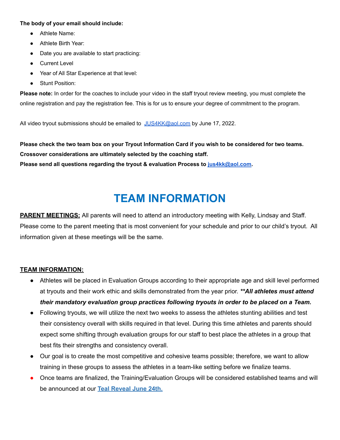#### **The body of your email should include:**

- Athlete Name:
- Athlete Birth Year:
- Date you are available to start practicing:
- Current Level
- Year of All Star Experience at that level:
- **Stunt Position:**

**Please note:** In order for the coaches to include your video in the staff tryout review meeting, you must complete the online registration and pay the registration fee. This is for us to ensure your degree of commitment to the program.

All video tryout submissions should be emailed to [JUS4KK@aol.com](mailto:JUS4KK@aol.com) by June 17, 2022.

Please check the two team box on your Tryout Information Card if you wish to be considered for two teams. **Crossover considerations are ultimately selected by the coaching staff. Please send all questions regarding the tryout & evaluation Process to [jus4kk@aol.com.](mailto:jus4kk@aol.com)**

# **TEAM INFORMATION**

**PARENT MEETINGS:** All parents will need to attend an introductory meeting with Kelly, Lindsay and Staff. Please come to the parent meeting that is most convenient for your schedule and prior to our child's tryout. All information given at these meetings will be the same.

#### **TEAM INFORMATION:**

- Athletes will be placed in Evaluation Groups according to their appropriate age and skill level performed at tryouts and their work ethic and skills demonstrated from the year prior. *\*\*All athletes must attend their mandatory evaluation group practices following tryouts in order to be placed on a Team.*
- Following tryouts, we will utilize the next two weeks to assess the athletes stunting abilities and test their consistency overall with skills required in that level. During this time athletes and parents should expect some shifting through evaluation groups for our staff to best place the athletes in a group that best fits their strengths and consistency overall.
- Our goal is to create the most competitive and cohesive teams possible; therefore, we want to allow training in these groups to assess the athletes in a team-like setting before we finalize teams.
- Once teams are finalized, the Training/Evaluation Groups will be considered established teams and will be announced at our **Teal Reveal June 24th.**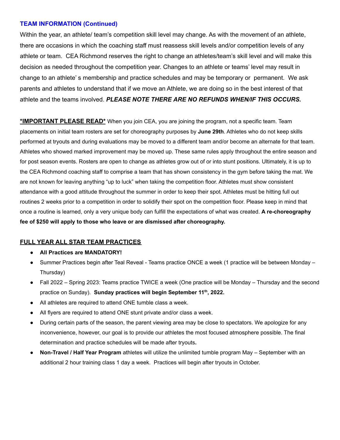#### **TEAM INFORMATION (Continued)**

Within the year, an athlete/ team's competition skill level may change. As with the movement of an athlete, there are occasions in which the coaching staff must reassess skill levels and/or competition levels of any athlete or team. CEA Richmond reserves the right to change an athletes/team's skill level and will make this decision as needed throughout the competition year. Changes to an athlete or teams' level may result in change to an athlete' s membership and practice schedules and may be temporary or permanent. We ask parents and athletes to understand that if we move an Athlete, we are doing so in the best interest of that athlete and the teams involved. *PLEASE NOTE THERE ARE NO REFUNDS WHEN/IF THIS OCCURS.*

**\*IMPORTANT PLEASE READ\*** When you join CEA, you are joining the program, not a specific team. Team placements on initial team rosters are set for choreography purposes by **June 29th**. Athletes who do not keep skills performed at tryouts and during evaluations may be moved to a different team and/or become an alternate for that team. Athletes who showed marked improvement may be moved up. These same rules apply throughout the entire season and for post season events. Rosters are open to change as athletes grow out of or into stunt positions. Ultimately, it is up to the CEA Richmond coaching staff to comprise a team that has shown consistency in the gym before taking the mat. We are not known for leaving anything "up to luck" when taking the competition floor. Athletes must show consistent attendance with a good attitude throughout the summer in order to keep their spot. Athletes must be hitting full out routines 2 weeks prior to a competition in order to solidify their spot on the competition floor. Please keep in mind that once a routine is learned, only a very unique body can fulfill the expectations of what was created. **A re-choreography fee of \$250 will apply to those who leave or are dismissed after choreography.**

#### **FULL YEAR ALL STAR TEAM PRACTICES**

- **All Practices are MANDATORY!**
- Summer Practices begin after Teal Reveal Teams practice ONCE a week (1 practice will be between Monday Thursday)
- Fall 2022 Spring 2023: Teams practice TWICE a week (One practice will be Monday Thursday and the second practice on Sunday). **Sunday practices will begin September 11 th , 2022.**
- All athletes are required to attend ONE tumble class a week.
- All flyers are required to attend ONE stunt private and/or class a week.
- During certain parts of the season, the parent viewing area may be close to spectators. We apologize for any inconvenience, however, our goal is to provide our athletes the most focused atmosphere possible. The final determination and practice schedules will be made after tryouts**.**
- **Non-Travel / Half Year Program** athletes will utilize the unlimited tumble program May September with an additional 2 hour training class 1 day a week. Practices will begin after tryouts in October.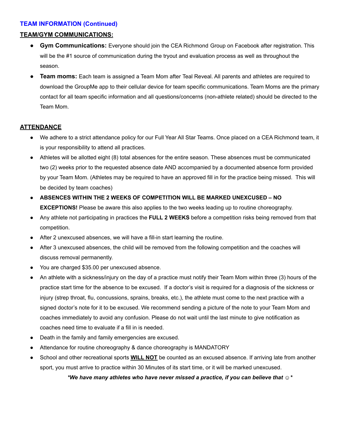#### **TEAM INFORMATION (Continued)**

#### **TEAM/GYM COMMUNICATIONS:**

- **Gym Communications:** Everyone should join the CEA Richmond Group on Facebook after registration. This will be the #1 source of communication during the tryout and evaluation process as well as throughout the season.
- **● Team moms:** Each team is assigned a Team Mom after Teal Reveal. All parents and athletes are required to download the GroupMe app to their cellular device for team specific communications. Team Moms are the primary contact for all team specific information and all questions/concerns (non-athlete related) should be directed to the Team Mom.

#### **ATTENDANCE**

- We adhere to a strict attendance policy for our Full Year All Star Teams. Once placed on a CEA Richmond team, it is your responsibility to attend all practices.
- Athletes will be allotted eight (8) total absences for the entire season. These absences must be communicated two (2) weeks prior to the requested absence date AND accompanied by a documented absence form provided by your Team Mom. (Athletes may be required to have an approved fill in for the practice being missed. This will be decided by team coaches)
- **ABSENCES WITHIN THE 2 WEEKS OF COMPETITION WILL BE MARKED UNEXCUSED – NO EXCEPTIONS!** Please be aware this also applies to the two weeks leading up to routine choreography.
- Any athlete not participating in practices the **FULL 2 WEEKS** before a competition risks being removed from that competition.
- After 2 unexcused absences, we will have a fill-in start learning the routine.
- After 3 unexcused absences, the child will be removed from the following competition and the coaches will discuss removal permanently.
- You are charged \$35.00 per unexcused absence.
- An athlete with a sickness/injury on the day of a practice must notify their Team Mom within three (3) hours of the practice start time for the absence to be excused. If a doctor's visit is required for a diagnosis of the sickness or injury (strep throat, flu, concussions, sprains, breaks, etc.), the athlete must come to the next practice with a signed doctor's note for it to be excused. We recommend sending a picture of the note to your Team Mom and coaches immediately to avoid any confusion. Please do not wait until the last minute to give notification as coaches need time to evaluate if a fill in is needed.
- Death in the family and family emergencies are excused.
- Attendance for routine choreography & dance choreography is MANDATORY
- School and other recreational sports **WILL NOT** be counted as an excused absence. If arriving late from another sport, you must arrive to practice within 30 Minutes of its start time, or it will be marked unexcused.

*\*We have many athletes who have never missed a practice, if you can believe that* ☺*\**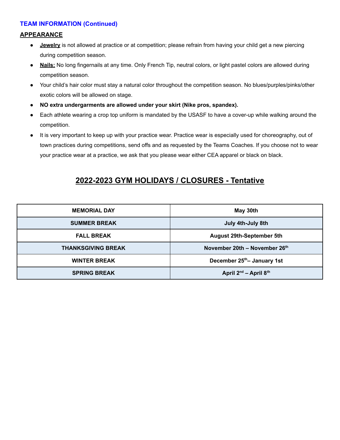#### **TEAM INFORMATION (Continued)**

#### **APPEARANCE**

- **Jewelry** is not allowed at practice or at competition; please refrain from having your child get a new piercing during competition season.
- **Nails:** No long fingernails at any time. Only French Tip, neutral colors, or light pastel colors are allowed during competition season.
- Your child's hair color must stay a natural color throughout the competition season. No blues/purples/pinks/other exotic colors will be allowed on stage.
- **NO extra undergarments are allowed under your skirt (Nike pros, spandex).**
- Each athlete wearing a crop top uniform is mandated by the USASF to have a cover-up while walking around the competition.
- It is very important to keep up with your practice wear. Practice wear is especially used for choreography, out of town practices during competitions, send offs and as requested by the Teams Coaches. If you choose not to wear your practice wear at a practice, we ask that you please wear either CEA apparel or black on black.

#### **2022-2023 GYM HOLIDAYS / CLOSURES - Tentative**

| <b>MEMORIAL DAY</b>       | May 30th                                |  |
|---------------------------|-----------------------------------------|--|
| <b>SUMMER BREAK</b>       | July 4th-July 8th                       |  |
| <b>FALL BREAK</b>         | <b>August 29th-September 5th</b>        |  |
| <b>THANKSGIVING BREAK</b> | November 20th - November 26th           |  |
| <b>WINTER BREAK</b>       | December 25 <sup>th</sup> - January 1st |  |
| <b>SPRING BREAK</b>       | April $2^{nd}$ – April $8^{th}$         |  |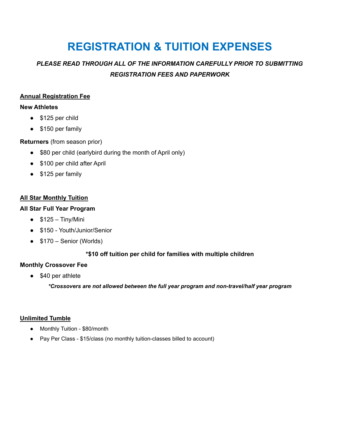# **REGISTRATION & TUITION EXPENSES**

#### *PLEASE READ THROUGH ALL OF THE INFORMATION CAREFULLY PRIOR TO SUBMITTING REGISTRATION FEES AND PAPERWORK*

#### **Annual Registration Fee**

#### **New Athletes**

- \$125 per child
- \$150 per family

#### **Returners** (from season prior)

- \$80 per child (earlybird during the month of April only)
- \$100 per child after April
- \$125 per family

#### **All Star Monthly Tuition**

#### **All Star Full Year Program**

- $•$   $$125 Tiny/Mini$
- \$150 Youth/Junior/Senior
- $\bullet$  \$170 Senior (Worlds)

#### **\*\$10 off tuition per child for families with multiple children**

#### **Monthly Crossover Fee**

• \$40 per athlete

*\*Crossovers are not allowed between the full year program and non-travel/half year program*

#### **Unlimited Tumble**

- Monthly Tuition \$80/month
- Pay Per Class \$15/class (no monthly tuition-classes billed to account)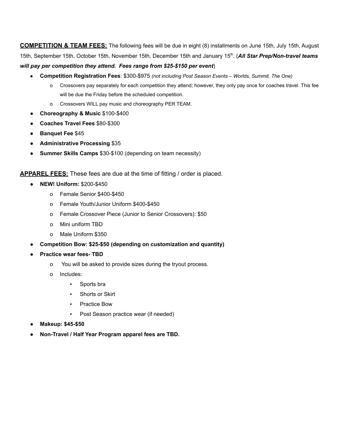**COMPETITION & TEAM FEES:** The following fees will be due in eight (8) installments on June 15th, July 15th, August 15th, September 15th, October 15th, November 15th, December 15th and January 15 th . (*All Star Prep/Non-travel teams will pay per competition they attend. Fees range from \$25-\$150 per event*)

- **Competition Registration Fees**: \$300-\$975 *(not including Post Season Events Worlds, Summit, The One)*
	- o Crossovers pay separately for each competition they attend; however, they only pay once for coaches travel. This fee will be due the Friday before the scheduled competition.
	- o Crossovers WILL pay music and choreography PER TEAM.
- **Choreography & Music** \$100-\$400
- **Coaches Travel Fees** \$80-\$300
- **Banquet Fee** \$45
- **Administrative Processing** \$35
- **Summer Skills Camps** \$30-\$100 (depending on team necessity)

**APPAREL FEES:** These fees are due at the time of fitting / order is placed.

- **NEW! Uniform:** \$200-\$450
	- o Female Senior \$400-\$450
	- o Female Youth/Junior Uniform \$400-\$450
	- o Female Crossover Piece (Junior to Senior Crossovers): \$50
	- o Mini uniform TBD
	- o Male Uniform \$350
- **Competition Bow: \$25-\$50 (depending on customization and quantity)**
- **Practice wear fees- TBD**
	- o You will be asked to provide sizes during the tryout process.
	- o Includes:
		- Sports bra
		- Shorts or Skirt
		- Practice Bow
		- Post Season practice wear (if needed)
- **Makeup: \$45-\$50**
- **Non-Travel / Half Year Program apparel fees are TBD.**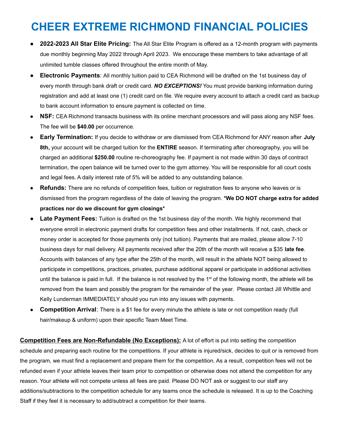# **CHEER EXTREME RICHMOND FINANCIAL POLICIES**

- **2022-2023 All Star Elite Pricing:** The All Star Elite Program is offered as a 12-month program with payments due monthly beginning May 2022 through April 2023. We encourage these members to take advantage of all unlimited tumble classes offered throughout the entire month of May.
- **Electronic Payments:** All monthly tuition paid to CEA Richmond will be drafted on the 1st business day of every month through bank draft or credit card. *NO EXCEPTIONS!* You must provide banking information during registration and add at least one (1) credit card on file. We require every account to attach a credit card as backup to bank account information to ensure payment is collected on time.
- **NSF:** CEA Richmond transacts business with its online merchant processors and will pass along any NSF fees. The fee will be **\$40.00** per occurrence.
- **Early Termination:** If you decide to withdraw or are dismissed from CEA Richmond for ANY reason after **July 8th,** your account will be charged tuition for the **ENTIRE** season. If terminating after choreography, you will be charged an additional **\$250.00** routine re-choreography fee. If payment is not made within 30 days of contract termination, the open balance will be turned over to the gym attorney. You will be responsible for all court costs and legal fees. A daily interest rate of 5% will be added to any outstanding balance.
- **Refunds:** There are no refunds of competition fees, tuition or registration fees to anyone who leaves or is dismissed from the program regardless of the date of leaving the program. **\*We DO NOT charge extra for added practices nor do we discount for gym closings\***
- **Late Payment Fees:** Tuition is drafted on the 1st business day of the month. We highly recommend that everyone enroll in electronic payment drafts for competition fees and other installments. If not, cash, check or money order is accepted for those payments only (not tuition). Payments that are mailed, please allow 7-10 business days for mail delivery. All payments received after the 20th of the month will receive a \$35 **late fee**. Accounts with balances of any type after the 25th of the month, will result in the athlete NOT being allowed to participate in competitions, practices, privates, purchase additional apparel or participate in additional activities until the balance is paid in full. If the balance is not resolved by the 1<sup>st</sup> of the following month, the athlete will be removed from the team and possibly the program for the remainder of the year. Please contact Jill Whittle and Kelly Lunderman IMMEDIATELY should you run into any issues with payments.
- **Competition Arrival**: There is a \$1 fee for every minute the athlete is late or not competition ready (full hair/makeup & uniform) upon their specific Team Meet Time.

**Competition Fees are Non-Refundable (No Exceptions):** A lot of effort is put into setting the competition schedule and preparing each routine for the competitions. If your athlete is injured/sick, decides to quit or is removed from the program, we must find a replacement and prepare them for the competition. As a result, competition fees will not be refunded even if your athlete leaves their team prior to competition or otherwise does not attend the competition for any reason. Your athlete will not compete unless all fees are paid. Please DO NOT ask or suggest to our staff any additions/subtractions to the competition schedule for any teams once the schedule is released. It is up to the Coaching Staff if they feel it is necessary to add/subtract a competition for their teams.